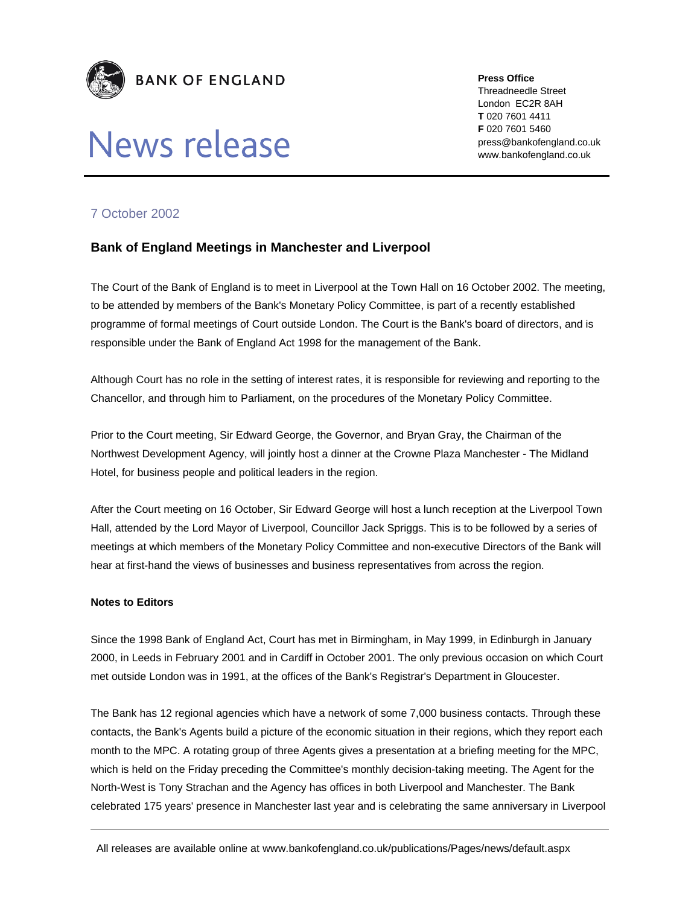

## News release

**Press Office** 

Threadneedle Street London EC2R 8AH **T** 020 7601 4411 **F** 020 7601 5460 press@bankofengland.co.uk www.bankofengland.co.uk

## 7 October 2002

## **Bank of England Meetings in Manchester and Liverpool**

The Court of the Bank of England is to meet in Liverpool at the Town Hall on 16 October 2002. The meeting, to be attended by members of the Bank's Monetary Policy Committee, is part of a recently established programme of formal meetings of Court outside London. The Court is the Bank's board of directors, and is responsible under the Bank of England Act 1998 for the management of the Bank.

Although Court has no role in the setting of interest rates, it is responsible for reviewing and reporting to the Chancellor, and through him to Parliament, on the procedures of the Monetary Policy Committee.

Prior to the Court meeting, Sir Edward George, the Governor, and Bryan Gray, the Chairman of the Northwest Development Agency, will jointly host a dinner at the Crowne Plaza Manchester - The Midland Hotel, for business people and political leaders in the region.

After the Court meeting on 16 October, Sir Edward George will host a lunch reception at the Liverpool Town Hall, attended by the Lord Mayor of Liverpool, Councillor Jack Spriggs. This is to be followed by a series of meetings at which members of the Monetary Policy Committee and non-executive Directors of the Bank will hear at first-hand the views of businesses and business representatives from across the region.

## **Notes to Editors**

Since the 1998 Bank of England Act, Court has met in Birmingham, in May 1999, in Edinburgh in January 2000, in Leeds in February 2001 and in Cardiff in October 2001. The only previous occasion on which Court met outside London was in 1991, at the offices of the Bank's Registrar's Department in Gloucester.

The Bank has 12 regional agencies which have a network of some 7,000 business contacts. Through these contacts, the Bank's Agents build a picture of the economic situation in their regions, which they report each month to the MPC. A rotating group of three Agents gives a presentation at a briefing meeting for the MPC, which is held on the Friday preceding the Committee's monthly decision-taking meeting. The Agent for the North-West is Tony Strachan and the Agency has offices in both Liverpool and Manchester. The Bank celebrated 175 years' presence in Manchester last year and is celebrating the same anniversary in Liverpool